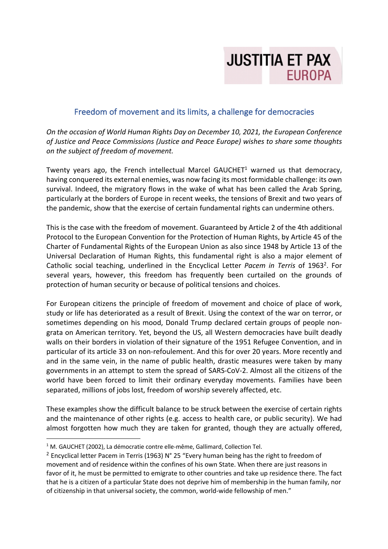

## Freedom of movement and its limits, a challenge for democracies

*On the occasion of World Human Rights Day on December 10, 2021, the European Conference of Justice and Peace Commissions (Justice and Peace Europe) wishes to share some thoughts on the subject of freedom of movement.*

Twenty years ago, the French intellectual Marcel GAUCHET<sup>1</sup> warned us that democracy, having conquered its external enemies, was now facing its most formidable challenge: its own survival. Indeed, the migratory flows in the wake of what has been called the Arab Spring, particularly at the borders of Europe in recent weeks, the tensions of Brexit and two years of the pandemic, show that the exercise of certain fundamental rights can undermine others.

This is the case with the freedom of movement. Guaranteed by Article 2 of the 4th additional Protocol to the European Convention for the Protection of Human Rights, by Article 45 of the Charter of Fundamental Rights of the European Union as also since 1948 by Article 13 of the Universal Declaration of Human Rights, this fundamental right is also a major element of Catholic social teaching, underlined in the Encyclical Letter *Pacem in Terris* of 1963<sup>2</sup>. For several years, however, this freedom has frequently been curtailed on the grounds of protection of human security or because of political tensions and choices.

For European citizens the principle of freedom of movement and choice of place of work, study or life has deteriorated as a result of Brexit. Using the context of the war on terror, or sometimes depending on his mood, Donald Trump declared certain groups of people nongrata on American territory. Yet, beyond the US, all Western democracies have built deadly walls on their borders in violation of their signature of the 1951 Refugee Convention, and in particular of its article 33 on non-refoulement. And this for over 20 years. More recently and and in the same vein, in the name of public health, drastic measures were taken by many governments in an attempt to stem the spread of SARS-CoV-2. Almost all the citizens of the world have been forced to limit their ordinary everyday movements. Families have been separated, millions of jobs lost, freedom of worship severely affected, etc.

These examples show the difficult balance to be struck between the exercise of certain rights and the maintenance of other rights (e.g. access to health care, or public security). We had almost forgotten how much they are taken for granted, though they are actually offered,

<sup>&</sup>lt;sup>1</sup> M. GAUCHET (2002), La démocratie contre elle-même, Gallimard, Collection Tel.

<sup>&</sup>lt;sup>2</sup> Encyclical letter Pacem in Terris (1963) N° 25 "Every human being has the right to freedom of movement and of residence within the confines of his own State. When there are just reasons in favor of it, he must be permitted to emigrate to other countries and take up residence there. The fact that he is a citizen of a particular State does not deprive him of membership in the human family, nor of citizenship in that universal society, the common, world-wide fellowship of men."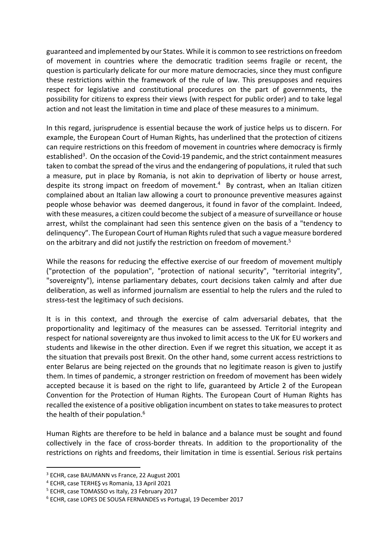guaranteed and implemented by our States. While it is common to see restrictions on freedom of movement in countries where the democratic tradition seems fragile or recent, the question is particularly delicate for our more mature democracies, since they must configure these restrictions within the framework of the rule of law. This presupposes and requires respect for legislative and constitutional procedures on the part of governments, the possibility for citizens to express their views (with respect for public order) and to take legal action and not least the limitation in time and place of these measures to a minimum.

In this regard, jurisprudence is essential because the work of justice helps us to discern. For example, the European Court of Human Rights, has underlined that the protection of citizens can require restrictions on this freedom of movement in countries where democracy is firmly established<sup>3</sup>. On the occasion of the Covid-19 pandemic, and the strict containment measures taken to combat the spread of the virus and the endangering of populations, it ruled that such a measure, put in place by Romania, is not akin to deprivation of liberty or house arrest, despite its strong impact on freedom of movement.<sup>4</sup> By contrast, when an Italian citizen complained about an Italian law allowing a court to pronounce preventive measures against people whose behavior was deemed dangerous, it found in favor of the complaint. Indeed, with these measures, a citizen could become the subject of a measure of surveillance or house arrest, whilst the complainant had seen this sentence given on the basis of a "tendency to delinquency". The European Court of Human Rights ruled that such a vague measure bordered on the arbitrary and did not justify the restriction on freedom of movement.<sup>5</sup>

While the reasons for reducing the effective exercise of our freedom of movement multiply ("protection of the population", "protection of national security", "territorial integrity", "sovereignty"), intense parliamentary debates, court decisions taken calmly and after due deliberation, as well as informed journalism are essential to help the rulers and the ruled to stress-test the legitimacy of such decisions.

It is in this context, and through the exercise of calm adversarial debates, that the proportionality and legitimacy of the measures can be assessed. Territorial integrity and respect for national sovereignty are thus invoked to limit access to the UK for EU workers and students and likewise in the other direction. Even if we regret this situation, we accept it as the situation that prevails post Brexit. On the other hand, some current access restrictions to enter Belarus are being rejected on the grounds that no legitimate reason is given to justify them. In times of pandemic, a stronger restriction on freedom of movement has been widely accepted because it is based on the right to life, guaranteed by Article 2 of the European Convention for the Protection of Human Rights. The European Court of Human Rights has recalled the existence of a positive obligation incumbent on states to take measures to protect the health of their population.<sup>6</sup>

Human Rights are therefore to be held in balance and a balance must be sought and found collectively in the face of cross-border threats. In addition to the proportionality of the restrictions on rights and freedoms, their limitation in time is essential. Serious risk pertains

<sup>3</sup> ECHR, case BAUMANN vs France, 22 August 2001

<sup>4</sup> ECHR, case TERHEŞ vs Romania, 13 April 2021

<sup>5</sup> ECHR, case TOMASSO vs Italy, 23 February 2017

<sup>6</sup> ECHR, case LOPES DE SOUSA FERNANDES vs Portugal, 19 December 2017